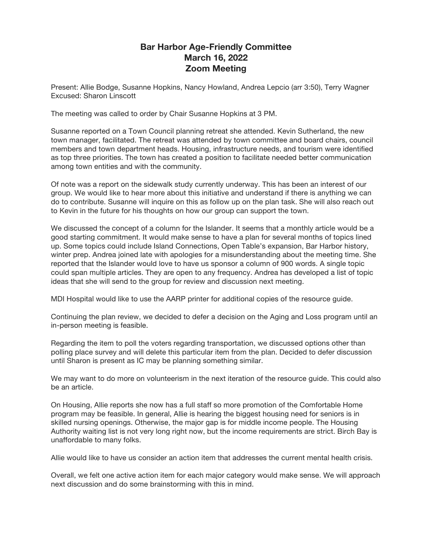## **Bar Harbor Age-Friendly Committee March 16, 2022 Zoom Meeting**

Present: Allie Bodge, Susanne Hopkins, Nancy Howland, Andrea Lepcio (arr 3:50), Terry Wagner Excused: Sharon Linscott

The meeting was called to order by Chair Susanne Hopkins at 3 PM.

Susanne reported on a Town Council planning retreat she attended. Kevin Sutherland, the new town manager, facilitated. The retreat was attended by town committee and board chairs, council members and town department heads. Housing, infrastructure needs, and tourism were identified as top three priorities. The town has created a position to facilitate needed better communication among town entities and with the community.

Of note was a report on the sidewalk study currently underway. This has been an interest of our group. We would like to hear more about this initiative and understand if there is anything we can do to contribute. Susanne will inquire on this as follow up on the plan task. She will also reach out to Kevin in the future for his thoughts on how our group can support the town.

We discussed the concept of a column for the Islander. It seems that a monthly article would be a good starting commitment. It would make sense to have a plan for several months of topics lined up. Some topics could include Island Connections, Open Table's expansion, Bar Harbor history, winter prep. Andrea joined late with apologies for a misunderstanding about the meeting time. She reported that the Islander would love to have us sponsor a column of 900 words. A single topic could span multiple articles. They are open to any frequency. Andrea has developed a list of topic ideas that she will send to the group for review and discussion next meeting.

MDI Hospital would like to use the AARP printer for additional copies of the resource guide.

Continuing the plan review, we decided to defer a decision on the Aging and Loss program until an in-person meeting is feasible.

Regarding the item to poll the voters regarding transportation, we discussed options other than polling place survey and will delete this particular item from the plan. Decided to defer discussion until Sharon is present as IC may be planning something similar.

We may want to do more on volunteerism in the next iteration of the resource guide. This could also be an article.

On Housing, Allie reports she now has a full staff so more promotion of the Comfortable Home program may be feasible. In general, Allie is hearing the biggest housing need for seniors is in skilled nursing openings. Otherwise, the major gap is for middle income people. The Housing Authority waiting list is not very long right now, but the income requirements are strict. Birch Bay is unaffordable to many folks.

Allie would like to have us consider an action item that addresses the current mental health crisis.

Overall, we felt one active action item for each major category would make sense. We will approach next discussion and do some brainstorming with this in mind.